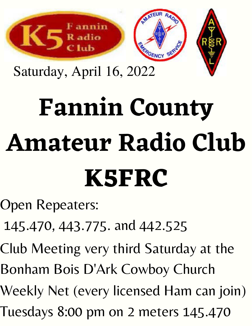

Saturday, April 16, 2022

## **Fannin County Amateur Radio Club K5FRC**

Open Repeaters:

- 145.470, 443.775. and 442.525
- Club Meeting very third Saturday at the
- Bonham Bois D'Ark Cowboy Church
- Weekly Net (every licensed Ham can join)
- Tuesdays 8:00 pm on 2 meters 145.470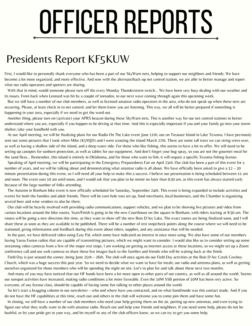# OFFICER REPORTS

#### Presidents Report KF5KUW

First, I would like to personally thank everyone who has been a part of our SkyWarn nets, helping to support our neighbors and friends. We have become a lot more organized, and more effective. And now with the alternate/back-up net control station, we are able to better manage and report what our radio operators and spotters are sharing.

With that in mind, would someone please turn off the every Monday Thunderstorm switch… We have been very busy dealing with our weather and its issues. From back when Leonard was hit by a couple of tornados, to our next wave coming through again this upcoming week.

But we still have a number of our club members, as well as licensed amateur radio operators in the area, who do not speak up when these nets are occurring. Please, at least check in to net control, and let them know you are listening. This way, we all will be better prepared if something is happening in your area, especially if we need to get the word out.

Another thing, please turn on (activate) your APRS beacon during these SkyWarn nets. This is another way for our net control stations to better understand where you are, especially if you happen to be driving at that time. And this is especially important if you and your family go into your storm shelter; take your handheld with you.

At our April meeting, we will be finalizing plans for our Radio On The Lake event June 11th, out on Treasure Island in Lake Texoma. I have previously sent out some pictures that I took when Mike (K5MJD) and I went scouting the island March 27th. There are some tall trees we can string wires over, as well as having a shallow side of the island, and a deep water side. For those who like fishing, this seems to have a lot to offer. We will need to be setting up canopies for sunburn protection, as well as tables for our equipment. And don't forget your bug spray, so you are not the gourmet meal for the sand fleas… Remember, this island is entirely in Oklahoma, and for those who want to fish, it will require a specific Texoma fishing license.

Speaking of April meeting, we will be participating in the Emergency Preparedness Fair on April 23rd. Our club has been a part of this event for a number of years, and we will be talking about and demonstrating what amateur radio is all about. We have officially been asked to give a 12 – 20 minute presentation during this event, so I will need all your help to make this a success. I believe our presentation is being scheduled between 11 am and noon. The event runs 10 am until noon, and I would ask that you plan to be onsite no later than 9:30 am, as this event has always started early because of the large number of folks attending.

The Autumn in Bonham bike event is now officially scheduled for Saturday, September 24th. This event is being expanded to include activities and events for both the families and adult friends. There will be corn hole toss set up, food merchants, local businesses, and the Chamber is organizing several beer and wine vendors to also be there.

Our club will be heavily involved with providing radio communications, support vehicles, and we plan to be showing live pictures and video from various locations around the bike routes. Start/Finish is going to be the new Courthouse on the square in Bonham, with riders starting at 8:30 am. The routes will be going a new direction this time, as they want to show off the new Bois D'Arc Lake. The exact routes are being finalized soon, and I will share these as soon as they are available to be published. There will be a number of rest stop/check points along the course where we will need to be stationed, giving information and feedback during this event about riders, supplies, and any assistance that will be needed.

In the past, we have delivered video using Easy Pal, which some have indicated an interest in once more using. We also have some of our members having Yaesu Fusion radios that are capable of transmitting pictures, which we might want to consider. I would also like us to consider setting up some streaming video cameras from a few of the major rest stops. I am working on getting us internet access at these locations, so we might set up a Zoom conference call and use web cameras to share these live images back to the families and friends who will be waiting back at the finish.

Field Day is just around the corner, being June 25th – 26th. The club will once again do our Field Day activities at the Bois D'Arc Creek Cowboy Church, which was a huge success this past year. So we need to decide what we want to have for meals, our radio and antenna plans, as well as getting ourselves organized for those members who will be spending the night on site. Lot's to plan for and talk about these next two months.

And many of you may have noticed that our HF bands have been a lot more open to other parts of our country, as well as all around the world. Seems our sunspot activities have increased, making radio conditions a lot more favorable. Even the 10M SSB portion of 10M has been very active. So everyone, of any license class, should be capable of having some fun talking to other places around the world.

So let's start a bragging column in our newsletter – who and where have you contacted, and on what band/mode was this contact made. And if you do not have the HF capabilities at this time, reach out and others in the club will welcome you to come join them and have some fun.

In closing, we still have a number of our club members who need your help getting them on the air, putting up new antennas, and even trying to figure out what they really want to do with amateur radio. Reach out and help your friends and neighbors. If you need some help, please do not be bashful, or let your pride get in your way, and let myself or any of the club officers know, so we can try to get you some help.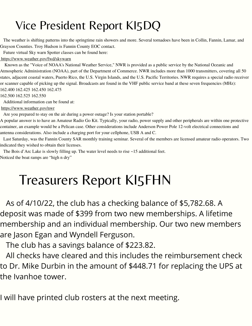#### Vice President Report KI5DQ

The weather is shifting patterns into the springtime rain showers and more. Several tornadoes have been in Collin, Fannin, Lamar, and Grayson Counties. Troy Hudson is Fannin County EOC contact.

Future virtual Sky warn Spotter classes can be found here:

#### <https://www.weather.gov/fwd/skywarn>

Known as the "Voice of NOAA's National Weather Service," NWR is provided as a public service by the National Oceanic and Atmospheric Administration (NOAA), part of the Department of Commerce. NWR includes more than 1000 transmitters, covering all 50 states, adjacent coastal waters, Puerto Rico, the U.S. Virgin Islands, and the U.S. Pacific Territories. NWR requires a special radio receiver or scanner capable of picking up the signal. Broadcasts are found in the VHF public service band at these seven frequencies (MHz): 162.400 162.425 162.450 162.475

162.500 162.525 162.550

Additional information can be found at:

#### <https://www.weather.gov/nwr>

Are you prepared to stay on the air during a power outage? Is your station portable?

A popular answer is to have an Amateur Radio Go Kit. Typically, your radio, power supply and other peripherals are within one protective container, an example would be a Pelican case. Other considerations include Anderson Power Pole 12-volt electrical connections and antenna considerations. Also include a charging port for your cellphone, USB A and C.

Last Saturday, was the Fannin County SAR monthly training seminar. Several of the members are licensed amateur radio operators. Two indicated they wished to obtain their licenses.

The Bois d'Arc Lake is slowly filling up. The water level needs to rise ~15 additional feet. Noticed the boat ramps are "high n dry"

### Treasurers Report KI5FHN

As of 4/10/22, the club has a checking balance of \$5,782.68. A deposit was made of \$399 from two new memberships. A lifetime membership and an individual membership. Our two new members are Jason Egan and Wyndell Ferguson.

The club has a savings balance of \$223.82.

All checks have cleared and this includes the reimbursement check to Dr. Mike Durbin in the amount of \$448.71 for replacing the UPS at the Ivanhoe tower.

I will have printed club rosters at the next meeting.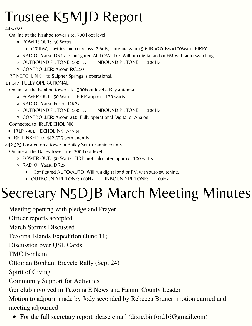### Trustee K5MJD Report

#### 443.750

On line at the Ivanhoe tower site. 300 Foot level

- POWER OUT: 50 Watts
	- $(17dbW,$  cavities and coax loss -2.6dB, antenna gain +5.6dB =20dBw=100Watts EIRP0
- RADIO: Yaesu DR1x Configured AUTO/AUTO Will run digital and or FM with auto switching.
- OUTBOUND PL TONE: 100Hz. INBOUND PL TONE: 100Hz
- CONTROLLER: Arcom RC210

RF NCTC LINK to Sulpher Springs is operational.

#### 145.47 FULLY OPERATIONAL

On line at the Ivanhoe tower site. 300Foot level 4 Bay antenna

- POWER OUT: 50 Watts EIRP approx.. 120 watts
- RADIO: Yaesu Fusion DR2x
- OUTBOUND PL TONE: 100Hz. INBOUND PL TONE: 100Hz
- CONTROLLER: Arcom 210 Fully operational Digital or Analog

Connected to IRLP/ECHOLINK

- IRLP 7901 ECHOLINK 554534
- RF LINKED to 442.525 permanently

442.525 Located on a tower in Bailey South Fannin county

On line at the Bailey tower site. 200 Foot level

- POWER OUT: 50 Watts EIRP not calculated approx.. 100 watts
- RADIO: Yaesu DR2x
	- Configured AUTO/AUTO Will run digital and or FM with auto switching.
	- OUTBOUND PL TONE: 100Hz. INBOUND PL TONE: 100Hz

### Secretary N5DJB March Meeting Minutes

Meeting opening with pledge and Prayer

Officer reports accepted

March Storms Discussed

Texoma Islands Expedition (June 11)

Discussion over QSL Cards

TMC Bonham

Ottoman Bonham Bicycle Rally (Sept 24)

Spirit of Giving

Community Support for Activities

Ger club involved in Texoma E News and Fannin County Leader

Motion to adjourn made by Jody seconded by Rebecca Bruner, motion carried and meeting adjourned

• For the full secretary report please email (dixie.binford16@gmail.com)